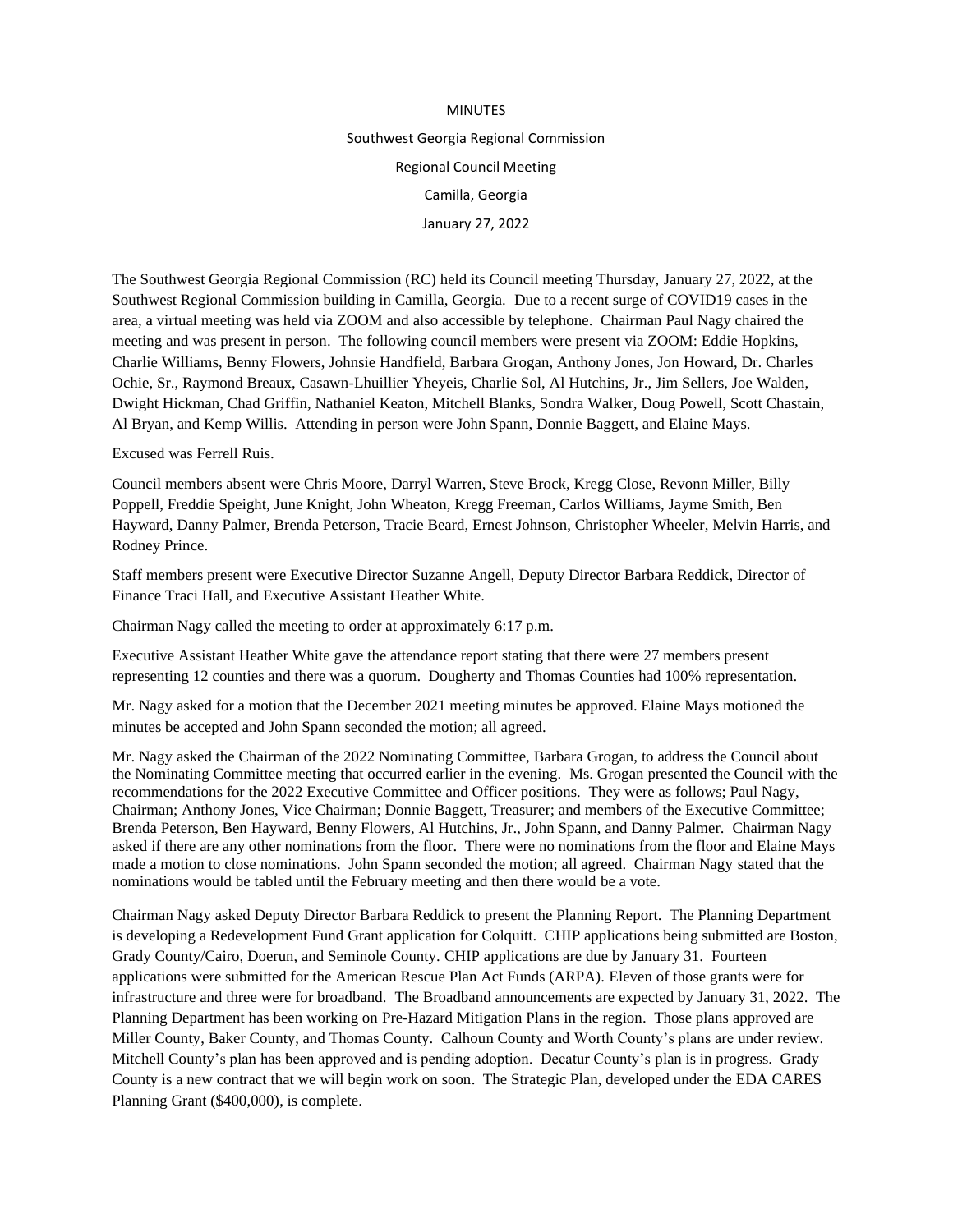## MINUTES Southwest Georgia Regional Commission Regional Council Meeting Camilla, Georgia January 27, 2022

The Southwest Georgia Regional Commission (RC) held its Council meeting Thursday, January 27, 2022, at the Southwest Regional Commission building in Camilla, Georgia. Due to a recent surge of COVID19 cases in the area, a virtual meeting was held via ZOOM and also accessible by telephone. Chairman Paul Nagy chaired the meeting and was present in person. The following council members were present via ZOOM: Eddie Hopkins, Charlie Williams, Benny Flowers, Johnsie Handfield, Barbara Grogan, Anthony Jones, Jon Howard, Dr. Charles Ochie, Sr., Raymond Breaux, Casawn-Lhuillier Yheyeis, Charlie Sol, Al Hutchins, Jr., Jim Sellers, Joe Walden, Dwight Hickman, Chad Griffin, Nathaniel Keaton, Mitchell Blanks, Sondra Walker, Doug Powell, Scott Chastain, Al Bryan, and Kemp Willis. Attending in person were John Spann, Donnie Baggett, and Elaine Mays.

Excused was Ferrell Ruis.

Council members absent were Chris Moore, Darryl Warren, Steve Brock, Kregg Close, Revonn Miller, Billy Poppell, Freddie Speight, June Knight, John Wheaton, Kregg Freeman, Carlos Williams, Jayme Smith, Ben Hayward, Danny Palmer, Brenda Peterson, Tracie Beard, Ernest Johnson, Christopher Wheeler, Melvin Harris, and Rodney Prince.

Staff members present were Executive Director Suzanne Angell, Deputy Director Barbara Reddick, Director of Finance Traci Hall, and Executive Assistant Heather White.

Chairman Nagy called the meeting to order at approximately 6:17 p.m.

Executive Assistant Heather White gave the attendance report stating that there were 27 members present representing 12 counties and there was a quorum. Dougherty and Thomas Counties had 100% representation.

Mr. Nagy asked for a motion that the December 2021 meeting minutes be approved. Elaine Mays motioned the minutes be accepted and John Spann seconded the motion; all agreed.

Mr. Nagy asked the Chairman of the 2022 Nominating Committee, Barbara Grogan, to address the Council about the Nominating Committee meeting that occurred earlier in the evening. Ms. Grogan presented the Council with the recommendations for the 2022 Executive Committee and Officer positions. They were as follows; Paul Nagy, Chairman; Anthony Jones, Vice Chairman; Donnie Baggett, Treasurer; and members of the Executive Committee; Brenda Peterson, Ben Hayward, Benny Flowers, Al Hutchins, Jr., John Spann, and Danny Palmer. Chairman Nagy asked if there are any other nominations from the floor. There were no nominations from the floor and Elaine Mays made a motion to close nominations. John Spann seconded the motion; all agreed. Chairman Nagy stated that the nominations would be tabled until the February meeting and then there would be a vote.

Chairman Nagy asked Deputy Director Barbara Reddick to present the Planning Report. The Planning Department is developing a Redevelopment Fund Grant application for Colquitt. CHIP applications being submitted are Boston, Grady County/Cairo, Doerun, and Seminole County. CHIP applications are due by January 31. Fourteen applications were submitted for the American Rescue Plan Act Funds (ARPA). Eleven of those grants were for infrastructure and three were for broadband. The Broadband announcements are expected by January 31, 2022. The Planning Department has been working on Pre-Hazard Mitigation Plans in the region. Those plans approved are Miller County, Baker County, and Thomas County. Calhoun County and Worth County's plans are under review. Mitchell County's plan has been approved and is pending adoption. Decatur County's plan is in progress. Grady County is a new contract that we will begin work on soon. The Strategic Plan, developed under the EDA CARES Planning Grant (\$400,000), is complete.